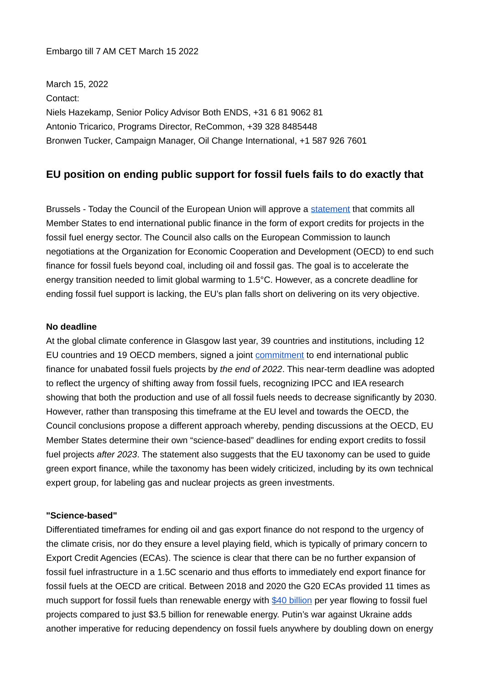## Embargo till 7 AM CET March 15 2022

March 15, 2022 Contact: Niels Hazekamp, Senior Policy Advisor Both ENDS, +31 6 81 9062 81 Antonio Tricarico, Programs Director, ReCommon, +39 328 8485448 Bronwen Tucker, Campaign Manager, Oil Change International, +1 587 926 7601

## **EU position on ending public support for fossil fuels fails to do exactly that**

Brussels - Today the Council of the European Union will approve a [statement](https://data.consilium.europa.eu/doc/document/ST-6500-2022-ADD-1/en/pdf) that commits all Member States to end international public finance in the form of export credits for projects in the fossil fuel energy sector. The Council also calls on the European Commission to launch negotiations at the Organization for Economic Cooperation and Development (OECD) to end such finance for fossil fuels beyond coal, including oil and fossil gas. The goal is to accelerate the energy transition needed to limit global warming to 1.5°C. However, as a concrete deadline for ending fossil fuel support is lacking, the EU's plan falls short on delivering on its very objective.

## **No deadline**

At the global climate conference in Glasgow last year, 39 countries and institutions, including 12 EU countries and 19 OECD members, signed a joint [commitment](https://ukcop26.org/statement-on-international-public-support-for-the-clean-energy-transition/) to end international public finance for unabated fossil fuels projects by *the end of 2022*. This near-term deadline was adopted to reflect the urgency of shifting away from fossil fuels, recognizing IPCC and IEA research showing that both the production and use of all fossil fuels needs to decrease significantly by 2030. However, rather than transposing this timeframe at the EU level and towards the OECD, the Council conclusions propose a different approach whereby, pending discussions at the OECD, EU Member States determine their own "science-based" deadlines for ending export credits to fossil fuel projects *after 2023*. The statement also suggests that the EU taxonomy can be used to guide green export finance, while the taxonomy has been widely criticized, including by its own technical expert group, for labeling gas and nuclear projects as green investments.

## **"Science-based"**

Differentiated timeframes for ending oil and gas export finance do not respond to the urgency of the climate crisis, nor do they ensure a level playing field, which is typically of primary concern to Export Credit Agencies (ECAs). The science is clear that there can be no further expansion of fossil fuel infrastructure in a 1.5C scenario and thus efforts to immediately end export finance for fossil fuels at the OECD are critical. Between 2018 and 2020 the G20 ECAs provided 11 times as much support for fossil fuels than renewable energy with [\\$40 billion](http://priceofoil.org/content/uploads/2021/10/Past-Last-Call-G20-Public-Finance-Report.pdf) per year flowing to fossil fuel projects compared to just \$3.5 billion for renewable energy. Putin's war against Ukraine adds another imperative for reducing dependency on fossil fuels anywhere by doubling down on energy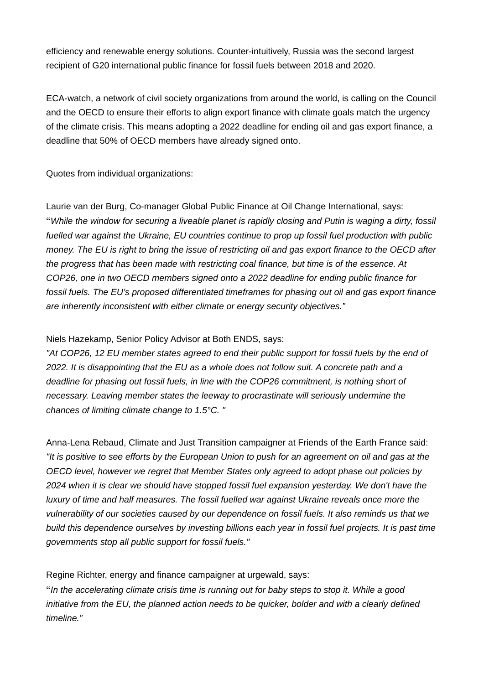efficiency and renewable energy solutions. Counter-intuitively, Russia was the second largest recipient of G20 international public finance for fossil fuels between 2018 and 2020.

ECA-watch, a network of civil society organizations from around the world, is calling on the Council and the OECD to ensure their efforts to align export finance with climate goals match the urgency of the climate crisis. This means adopting a 2022 deadline for ending oil and gas export finance, a deadline that 50% of OECD members have already signed onto.

Quotes from individual organizations:

Laurie van der Burg, Co-manager Global Public Finance at Oil Change International, says: "*While the window for securing a liveable planet is rapidly closing and Putin is waging a dirty, fossil fuelled war against the Ukraine, EU countries continue to prop up fossil fuel production with public money. The EU is right to bring the issue of restricting oil and gas export finance to the OECD after the progress that has been made with restricting coal finance, but time is of the essence. At COP26, one in two OECD members signed onto a 2022 deadline for ending public finance for fossil fuels. The EU's proposed differentiated timeframes for phasing out oil and gas export finance are inherently inconsistent with either climate or energy security objectives."*

Niels Hazekamp, Senior Policy Advisor at Both ENDS, says:

*"At COP26, 12 EU member states agreed to end their public support for fossil fuels by the end of 2022. It is disappointing that the EU as a whole does not follow suit. A concrete path and a deadline for phasing out fossil fuels, in line with the COP26 commitment, is nothing short of necessary. Leaving member states the leeway to procrastinate will seriously undermine the chances of limiting climate change to 1.5°C. "*

Anna-Lena Rebaud, Climate and Just Transition campaigner at Friends of the Earth France said: *"It is positive to see efforts by the European Union to push for an agreement on oil and gas at the OECD level, however we regret that Member States only agreed to adopt phase out policies by 2024 when it is clear we should have stopped fossil fuel expansion yesterday. We don't have the luxury of time and half measures. The fossil fuelled war against Ukraine reveals once more the vulnerability of our societies caused by our dependence on fossil fuels. It also reminds us that we build this dependence ourselves by investing billions each year in fossil fuel projects. It is past time governments stop all public support for fossil fuels."*

Regine Richter, energy and finance campaigner at urgewald, says:

"*In the accelerating climate crisis time is running out for baby steps to stop it. While a good initiative from the EU, the planned action needs to be quicker, bolder and with a clearly defined timeline."*